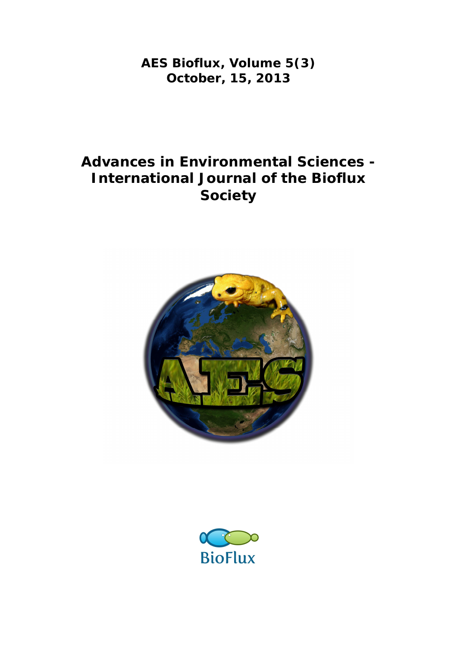**AES Bioflux, Volume 5(3) October, 15, 2013**

# **Advances in Environmental Sciences - International Journal of the Bioflux Society**



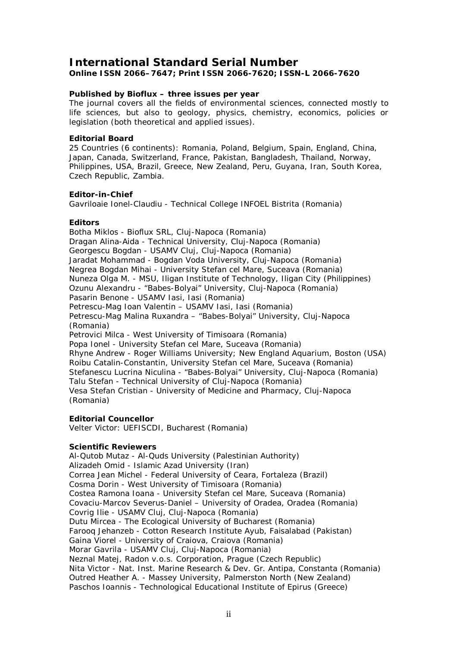### **International Standard Serial Number**

**Online ISSN 2066–7647; Print ISSN 2066-7620; ISSN-L 2066-7620**

#### **Published by Bioflux – three issues per year**

The journal covers all the fields of environmental sciences, connected mostly to life sciences, but also to geology, physics, chemistry, economics, policies or legislation (both theoretical and applied issues).

#### **Editorial Board**

25 Countries (6 continents): Romania, Poland, Belgium, Spain, England, China, Japan, Canada, Switzerland, France, Pakistan, Bangladesh, Thailand, Norway, Philippines, USA, Brazil, Greece, New Zealand, Peru, Guyana, Iran, South Korea, Czech Republic, Zambia.

#### **Editor-in-Chief**

Gavriloaie Ionel-Claudiu - Technical College INFOEL Bistrita (Romania)

#### **Editors**

Botha Miklos - Bioflux SRL, Cluj-Napoca (Romania) Dragan Alina-Aida - Technical University, Cluj-Napoca (Romania) Georgescu Bogdan - USAMV Cluj, Cluj-Napoca (Romania) Jaradat Mohammad - Bogdan Voda University, Cluj-Napoca (Romania) Negrea Bogdan Mihai - University Stefan cel Mare, Suceava (Romania) Nuneza Olga M. - MSU, Iligan Institute of Technology, Iligan City (Philippines) Ozunu Alexandru - "Babes-Bolyai" University, Cluj-Napoca (Romania) Pasarin Benone - USAMV Iasi, Iasi (Romania) Petrescu-Mag Ioan Valentin – USAMV Iasi, Iasi (Romania) Petrescu-Mag Malina Ruxandra – "Babes-Bolyai" University, Cluj-Napoca (Romania) Petrovici Milca - West University of Timisoara (Romania) Popa Ionel - University Stefan cel Mare, Suceava (Romania) Rhyne Andrew - Roger Williams University; New England Aquarium, Boston (USA) Roibu Catalin-Constantin, University Stefan cel Mare, Suceava (Romania) Stefanescu Lucrina Niculina - "Babes-Bolyai" University, Cluj-Napoca (Romania) Talu Stefan - Technical University of Cluj-Napoca (Romania) Vesa Stefan Cristian - University of Medicine and Pharmacy, Cluj-Napoca (Romania)

#### **Editorial Councellor**

Velter Victor: UEFISCDI, Bucharest (Romania)

#### **Scientific Reviewers**

Al-Qutob Mutaz - Al-Quds University (Palestinian Authority) Alizadeh Omid - Islamic Azad University (Iran) Correa Jean Michel - Federal University of Ceara, Fortaleza (Brazil) Cosma Dorin - West University of Timisoara (Romania) Costea Ramona Ioana - University Stefan cel Mare, Suceava (Romania) Covaciu-Marcov Severus-Daniel – University of Oradea, Oradea (Romania) Covrig Ilie - USAMV Cluj, Cluj-Napoca (Romania) Dutu Mircea - The Ecological University of Bucharest (Romania) Farooq Jehanzeb - Cotton Research Institute Ayub, Faisalabad (Pakistan) Gaina Viorel - University of Craiova, Craiova (Romania) Morar Gavrila - USAMV Cluj, Cluj-Napoca (Romania) Neznal Matej, Radon v.o.s. Corporation, Prague (Czech Republic) Nita Victor - Nat. Inst. Marine Research & Dev. Gr. Antipa, Constanta (Romania) Outred Heather A. - Massey University, Palmerston North (New Zealand) Paschos Ioannis - Technological Educational Institute of Epirus (Greece)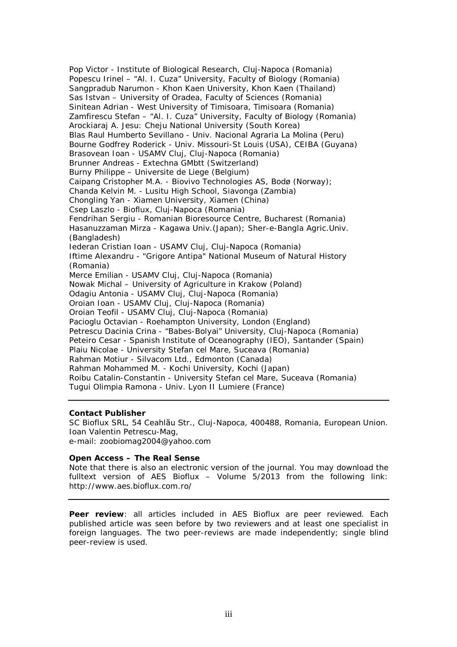Pop Victor - Institute of Biological Research, Cluj-Napoca (Romania) Popescu Irinel – "Al. I. Cuza" University, Faculty of Biology (Romania) Sangpradub Narumon - Khon Kaen University, Khon Kaen (Thailand) Sas Istvan – University of Oradea, Faculty of Sciences (Romania) Sinitean Adrian - West University of Timisoara, Timisoara (Romania) Zamfirescu Stefan – "Al. I. Cuza" University, Faculty of Biology (Romania) Arockiaraj A. Jesu: Cheju National University (South Korea) Blas Raul Humberto Sevillano - Univ. Nacional Agraria La Molina (Peru) Bourne Godfrey Roderick - Univ. Missouri-St Louis (USA), CEIBA (Guyana) Brasovean Ioan - USAMV Cluj, Cluj-Napoca (Romania) Brunner Andreas - Extechna GMbtt (Switzerland) Burny Philippe – Universite de Liege (Belgium) Caipang Cristopher M.A. - Biovivo Technologies AS, Bodø (Norway); Chanda Kelvin M. - Lusitu High School, Siavonga (Zambia) Chongling Yan - Xiamen University, Xiamen (China) Csep Laszlo - Bioflux, Cluj-Napoca (Romania) Fendrihan Sergiu - Romanian Bioresource Centre, Bucharest (Romania) Hasanuzzaman Mirza - Kagawa Univ.(Japan); Sher-e-Bangla Agric.Univ. (Bangladesh) Iederan Cristian Ioan - USAMV Cluj, Cluj-Napoca (Romania) Iftime Alexandru - "Grigore Antipa" National Museum of Natural History (Romania) Merce Emilian - USAMV Cluj, Cluj-Napoca (Romania) Nowak Michal – University of Agriculture in Krakow (Poland) Odagiu Antonia - USAMV Cluj, Cluj-Napoca (Romania) Oroian Ioan - USAMV Cluj, Cluj-Napoca (Romania) Oroian Teofil - USAMV Cluj, Cluj-Napoca (Romania) Pacioglu Octavian - Roehampton University, London (England) Petrescu Dacinia Crina - "Babes-Bolyai" University, Cluj-Napoca (Romania) Peteiro Cesar - Spanish Institute of Oceanography (IEO), Santander (Spain) Plaiu Nicolae - University Stefan cel Mare, Suceava (Romania) Rahman Motiur - Silvacom Ltd., Edmonton (Canada) Rahman Mohammed M. - Kochi University, Kochi (Japan) Roibu Catalin-Constantin - University Stefan cel Mare, Suceava (Romania) Tugui Olimpia Ramona - Univ. Lyon II Lumiere (France)

#### **Contact Publisher**

SC Bioflux SRL, 54 Ceahlău Str., Cluj-Napoca, 400488, Romania, European Union. Ioan Valentin Petrescu-Mag, e-mail: zoobiomag2004@yahoo.com

#### **Open Access – The Real Sense**

Note that there is also an electronic version of the journal. You may download the fulltext version of AES Bioflux – Volume 5/2013 from the following link: http://www.aes.bioflux.com.ro/

**Peer review**: all articles included in AES Bioflux are peer reviewed. Each published article was seen before by two reviewers and at least one specialist in foreign languages. The two peer-reviews are made independently; single blind peer-review is used.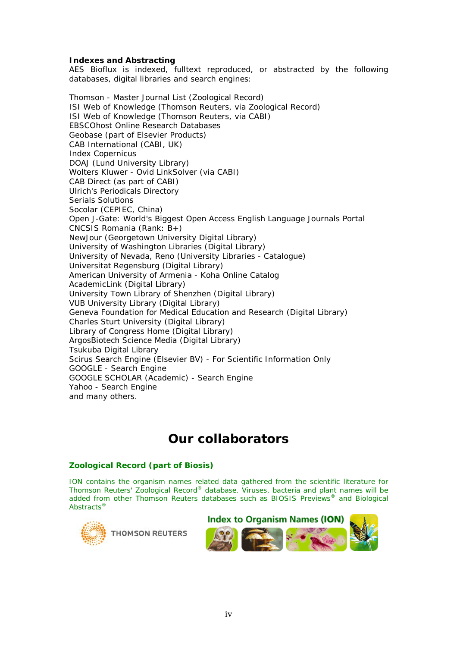#### **Indexes and Abstracting**

AES Bioflux is indexed, fulltext reproduced, or abstracted by the following databases, digital libraries and search engines:

Thomson - Master Journal List (Zoological Record) ISI Web of Knowledge (Thomson Reuters, via Zoological Record) ISI Web of Knowledge (Thomson Reuters, via CABI) EBSCOhost Online Research Databases Geobase (part of Elsevier Products) CAB International (CABI, UK) Index Copernicus DOAJ (Lund University Library) Wolters Kluwer - Ovid LinkSolver (via CABI) CAB Direct (as part of CABI) Ulrich's Periodicals Directory Serials Solutions Socolar (CEPIEC, China) Open J-Gate: World's Biggest Open Access English Language Journals Portal CNCSIS Romania (Rank: B+) NewJour (Georgetown University Digital Library) University of Washington Libraries (Digital Library) University of Nevada, Reno (University Libraries - Catalogue) Universitat Regensburg (Digital Library) American University of Armenia - Koha Online Catalog AcademicLink (Digital Library) University Town Library of Shenzhen (Digital Library) VUB University Library (Digital Library) Geneva Foundation for Medical Education and Research (Digital Library) Charles Sturt University (Digital Library) Library of Congress Home (Digital Library) ArgosBiotech Science Media (Digital Library) Tsukuba Digital Library Scirus Search Engine (Elsevier BV) - For Scientific Information Only GOOGLE - Search Engine GOOGLE SCHOLAR (Academic) - Search Engine Yahoo - Search Engine and many others.

## **Our collaborators**

#### **Zoological Record (part of Biosis)**

ION contains the organism names related data gathered from the scientific literature for Thomson Reuters' *Zoological Record®* database. Viruses, bacteria and plant names will be added from other Thomson Reuters databases such as *BIOSIS Previews®* and *Biological Abstracts®*



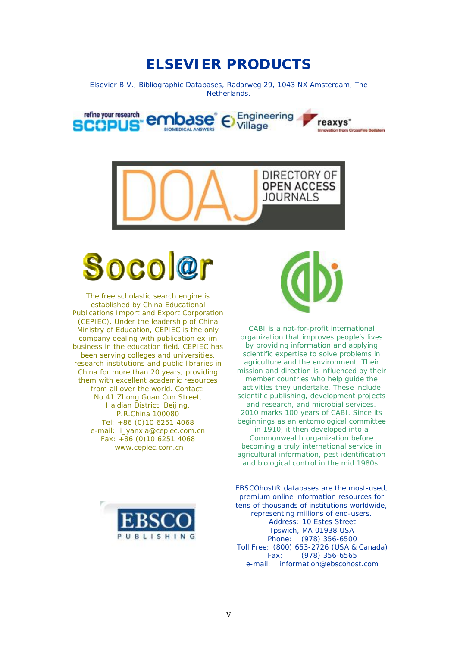## **ELSEVIER PRODUCTS**

Elsevier B.V., Bibliographic Databases, Radarweg 29, 1043 NX Amsterdam, The Netherlands.

refine your research Engineering nbase reaxys<sup>\*</sup> eabl Village





The free scholastic search engine is established by China Educational Publications Import and Export Corporation (CEPIEC). Under the leadership of China Ministry of Education, CEPIEC is the only company dealing with publication ex-im business in the education field. CEPIEC has been serving colleges and universities, research institutions and public libraries in China for more than 20 years, providing them with excellent academic resources from all over the world. Contact: No 41 Zhong Guan Cun Street, Haidian District, Beijing, P.R.China 100080 Tel: +86 (0)10 6251 4068 e-mail: li\_yanxia@cepiec.com.cn Fax: +86 (0)10 6251 4068 www.cepiec.com.cn



CABI is a not-for-profit international organization that improves people's lives by providing information and applying scientific expertise to solve problems in agriculture and the environment. Their mission and direction is influenced by their member countries who help guide the activities they undertake. These include scientific publishing, development projects and research, and microbial services. 2010 marks 100 years of CABI. Since its beginnings as an entomological committee in 1910, it then developed into a Commonwealth organization before becoming a truly international service in agricultural information, pest identification and biological control in the mid 1980s.



EBSCO*host®* databases are the most-used, premium online information resources for tens of thousands of institutions worldwide, representing millions of end-users. Address: 10 Estes Street Ipswich, MA 01938 USA Phone: (978) 356-6500 Toll Free: (800) 653-2726 (USA & Canada) Fax: (978) 356-6565 e-mail: information@ebscohost.com